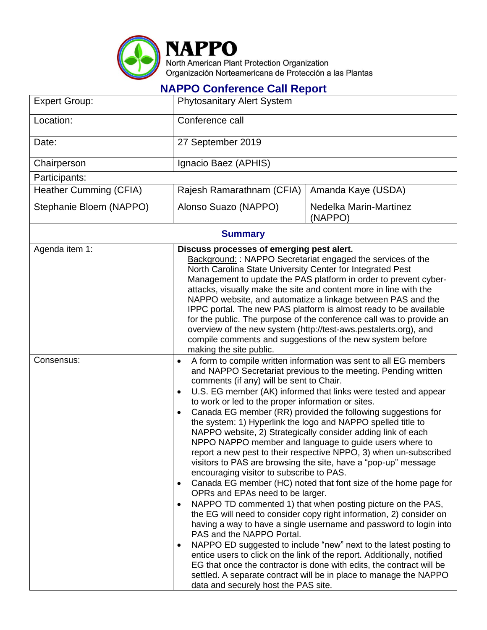

## **NAPPO Conference Call Report**

| <b>Expert Group:</b>          | <b>Phytosanitary Alert System</b>                                                                                                                                                                                                                                                                                                                                                                                                                                                                                                                                                                                                                                                                                                                                                                                                                                                                                                                                                                                                                                                                                                                                                                                                                                                                                                                                                                                                                                                                |                                   |  |
|-------------------------------|--------------------------------------------------------------------------------------------------------------------------------------------------------------------------------------------------------------------------------------------------------------------------------------------------------------------------------------------------------------------------------------------------------------------------------------------------------------------------------------------------------------------------------------------------------------------------------------------------------------------------------------------------------------------------------------------------------------------------------------------------------------------------------------------------------------------------------------------------------------------------------------------------------------------------------------------------------------------------------------------------------------------------------------------------------------------------------------------------------------------------------------------------------------------------------------------------------------------------------------------------------------------------------------------------------------------------------------------------------------------------------------------------------------------------------------------------------------------------------------------------|-----------------------------------|--|
| Location:                     | Conference call                                                                                                                                                                                                                                                                                                                                                                                                                                                                                                                                                                                                                                                                                                                                                                                                                                                                                                                                                                                                                                                                                                                                                                                                                                                                                                                                                                                                                                                                                  |                                   |  |
| Date:                         | 27 September 2019                                                                                                                                                                                                                                                                                                                                                                                                                                                                                                                                                                                                                                                                                                                                                                                                                                                                                                                                                                                                                                                                                                                                                                                                                                                                                                                                                                                                                                                                                |                                   |  |
| Chairperson                   | Ignacio Baez (APHIS)                                                                                                                                                                                                                                                                                                                                                                                                                                                                                                                                                                                                                                                                                                                                                                                                                                                                                                                                                                                                                                                                                                                                                                                                                                                                                                                                                                                                                                                                             |                                   |  |
| Participants:                 |                                                                                                                                                                                                                                                                                                                                                                                                                                                                                                                                                                                                                                                                                                                                                                                                                                                                                                                                                                                                                                                                                                                                                                                                                                                                                                                                                                                                                                                                                                  |                                   |  |
| <b>Heather Cumming (CFIA)</b> | Rajesh Ramarathnam (CFIA)                                                                                                                                                                                                                                                                                                                                                                                                                                                                                                                                                                                                                                                                                                                                                                                                                                                                                                                                                                                                                                                                                                                                                                                                                                                                                                                                                                                                                                                                        | Amanda Kaye (USDA)                |  |
| Stephanie Bloem (NAPPO)       | Alonso Suazo (NAPPO)                                                                                                                                                                                                                                                                                                                                                                                                                                                                                                                                                                                                                                                                                                                                                                                                                                                                                                                                                                                                                                                                                                                                                                                                                                                                                                                                                                                                                                                                             | Nedelka Marin-Martinez<br>(NAPPO) |  |
| <b>Summary</b>                |                                                                                                                                                                                                                                                                                                                                                                                                                                                                                                                                                                                                                                                                                                                                                                                                                                                                                                                                                                                                                                                                                                                                                                                                                                                                                                                                                                                                                                                                                                  |                                   |  |
| Agenda item 1:                | Discuss processes of emerging pest alert.<br>Background:: NAPPO Secretariat engaged the services of the<br>North Carolina State University Center for Integrated Pest<br>Management to update the PAS platform in order to prevent cyber-<br>attacks, visually make the site and content more in line with the<br>NAPPO website, and automatize a linkage between PAS and the<br>IPPC portal. The new PAS platform is almost ready to be available<br>for the public. The purpose of the conference call was to provide an<br>overview of the new system (http://test-aws.pestalerts.org), and<br>compile comments and suggestions of the new system before<br>making the site public.                                                                                                                                                                                                                                                                                                                                                                                                                                                                                                                                                                                                                                                                                                                                                                                                           |                                   |  |
| Consensus:                    | A form to compile written information was sent to all EG members<br>$\bullet$<br>and NAPPO Secretariat previous to the meeting. Pending written<br>comments (if any) will be sent to Chair.<br>U.S. EG member (AK) informed that links were tested and appear<br>$\bullet$<br>to work or led to the proper information or sites.<br>Canada EG member (RR) provided the following suggestions for<br>$\bullet$<br>the system: 1) Hyperlink the logo and NAPPO spelled title to<br>NAPPO website, 2) Strategically consider adding link of each<br>NPPO NAPPO member and language to guide users where to<br>report a new pest to their respective NPPO, 3) when un-subscribed<br>visitors to PAS are browsing the site, have a "pop-up" message<br>encouraging visitor to subscribe to PAS.<br>Canada EG member (HC) noted that font size of the home page for<br>OPRs and EPAs need to be larger.<br>NAPPO TD commented 1) that when posting picture on the PAS,<br>$\bullet$<br>the EG will need to consider copy right information, 2) consider on<br>having a way to have a single username and password to login into<br>PAS and the NAPPO Portal.<br>NAPPO ED suggested to include "new" next to the latest posting to<br>٠<br>entice users to click on the link of the report. Additionally, notified<br>EG that once the contractor is done with edits, the contract will be<br>settled. A separate contract will be in place to manage the NAPPO<br>data and securely host the PAS site. |                                   |  |